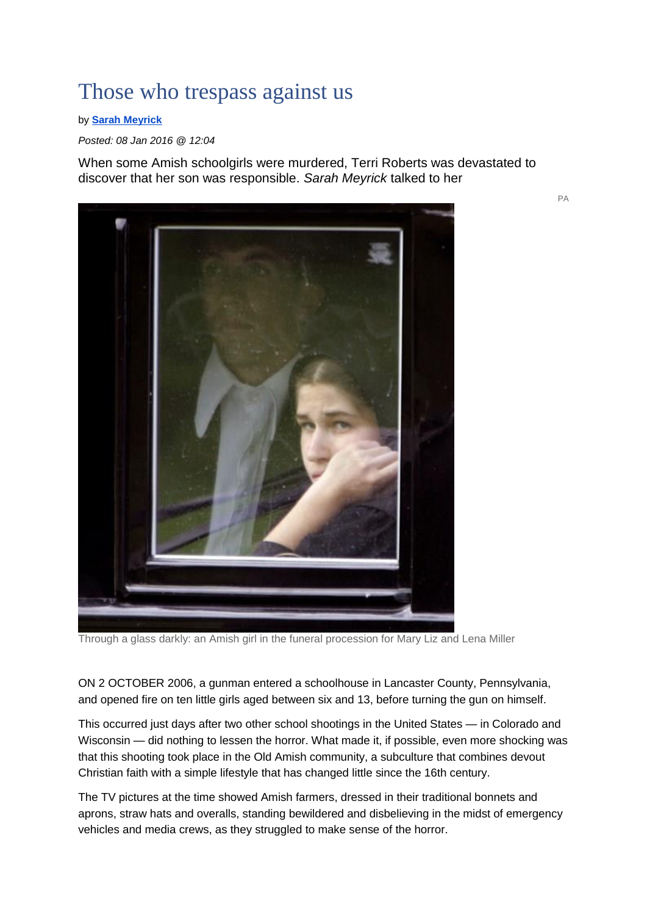## Those who trespass against us

by **[Sarah Meyrick](https://www.churchtimes.co.uk/journalists/sarah-meyrick)**

*Posted: 08 Jan 2016 @ 12:04*

When some Amish schoolgirls were murdered, Terri Roberts was devastated to discover that her son was responsible. *Sarah Meyrick* talked to her



Through a glass darkly: an Amish girl in the funeral procession for Mary Liz and Lena Miller

ON 2 OCTOBER 2006, a gunman entered a schoolhouse in Lancaster County, Pennsylvania, and opened fire on ten little girls aged between six and 13, before turning the gun on himself.

This occurred just days after two other school shootings in the United States — in Colorado and Wisconsin — did nothing to lessen the horror. What made it, if possible, even more shocking was that this shooting took place in the Old Amish community, a subculture that combines devout Christian faith with a simple lifestyle that has changed little since the 16th century.

The TV pictures at the time showed Amish farmers, dressed in their traditional bonnets and aprons, straw hats and overalls, standing bewildered and disbelieving in the midst of emergency vehicles and media crews, as they struggled to make sense of the horror.

PA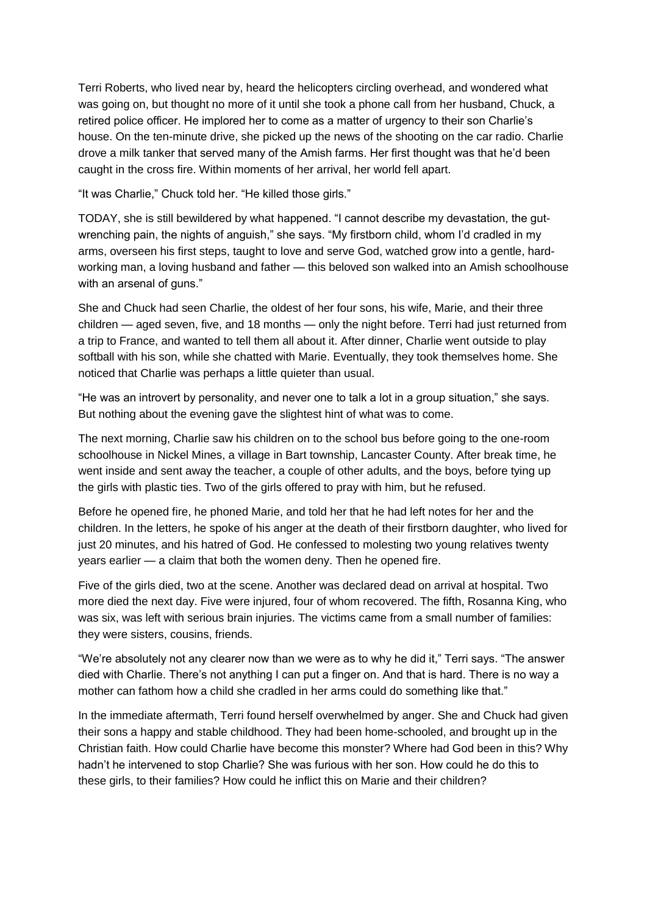Terri Roberts, who lived near by, heard the helicopters circling overhead, and wondered what was going on, but thought no more of it until she took a phone call from her husband, Chuck, a retired police officer. He implored her to come as a matter of urgency to their son Charlie's house. On the ten-minute drive, she picked up the news of the shooting on the car radio. Charlie drove a milk tanker that served many of the Amish farms. Her first thought was that he'd been caught in the cross fire. Within moments of her arrival, her world fell apart.

"It was Charlie," Chuck told her. "He killed those girls."

TODAY, she is still bewildered by what happened. "I cannot describe my devastation, the gutwrenching pain, the nights of anguish," she says. "My firstborn child, whom I'd cradled in my arms, overseen his first steps, taught to love and serve God, watched grow into a gentle, hardworking man, a loving husband and father — this beloved son walked into an Amish schoolhouse with an arsenal of guns."

She and Chuck had seen Charlie, the oldest of her four sons, his wife, Marie, and their three children — aged seven, five, and 18 months — only the night before. Terri had just returned from a trip to France, and wanted to tell them all about it. After dinner, Charlie went outside to play softball with his son, while she chatted with Marie. Eventually, they took themselves home. She noticed that Charlie was perhaps a little quieter than usual.

"He was an introvert by personality, and never one to talk a lot in a group situation," she says. But nothing about the evening gave the slightest hint of what was to come.

The next morning, Charlie saw his children on to the school bus before going to the one-room schoolhouse in Nickel Mines, a village in Bart township, Lancaster County. After break time, he went inside and sent away the teacher, a couple of other adults, and the boys, before tying up the girls with plastic ties. Two of the girls offered to pray with him, but he refused.

Before he opened fire, he phoned Marie, and told her that he had left notes for her and the children. In the letters, he spoke of his anger at the death of their firstborn daughter, who lived for just 20 minutes, and his hatred of God. He confessed to molesting two young relatives twenty years earlier — a claim that both the women deny. Then he opened fire.

Five of the girls died, two at the scene. Another was declared dead on arrival at hospital. Two more died the next day. Five were injured, four of whom recovered. The fifth, Rosanna King, who was six, was left with serious brain injuries. The victims came from a small number of families: they were sisters, cousins, friends.

"We're absolutely not any clearer now than we were as to why he did it," Terri says. "The answer died with Charlie. There's not anything I can put a finger on. And that is hard. There is no way a mother can fathom how a child she cradled in her arms could do something like that."

In the immediate aftermath, Terri found herself overwhelmed by anger. She and Chuck had given their sons a happy and stable childhood. They had been home-schooled, and brought up in the Christian faith. How could Charlie have become this monster? Where had God been in this? Why hadn't he intervened to stop Charlie? She was furious with her son. How could he do this to these girls, to their families? How could he inflict this on Marie and their children?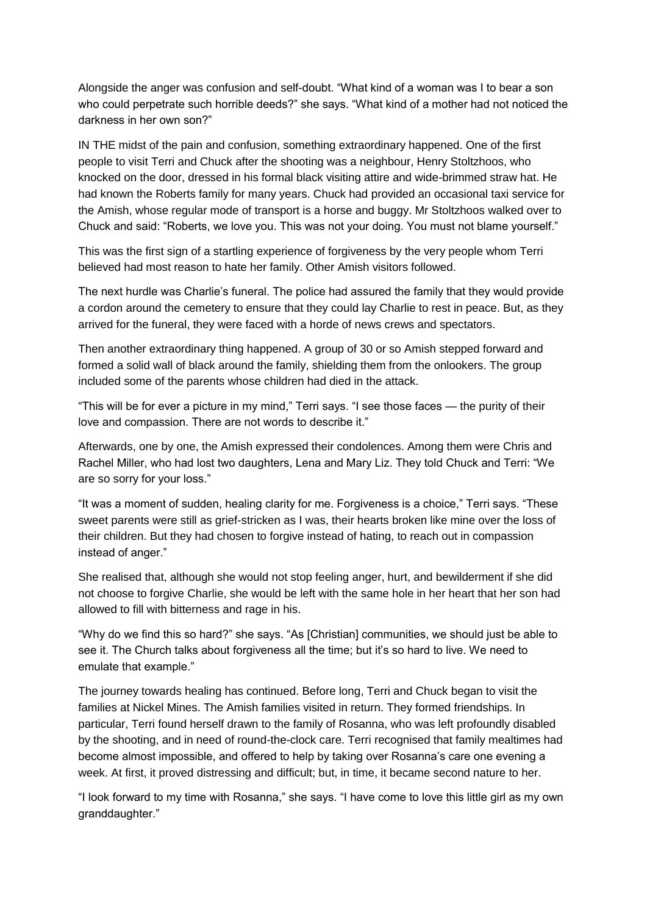Alongside the anger was confusion and self-doubt. "What kind of a woman was I to bear a son who could perpetrate such horrible deeds?" she says. "What kind of a mother had not noticed the darkness in her own son?"

IN THE midst of the pain and confusion, something extraordinary happened. One of the first people to visit Terri and Chuck after the shooting was a neighbour, Henry Stoltzhoos, who knocked on the door, dressed in his formal black visiting attire and wide-brimmed straw hat. He had known the Roberts family for many years. Chuck had provided an occasional taxi service for the Amish, whose regular mode of transport is a horse and buggy. Mr Stoltzhoos walked over to Chuck and said: "Roberts, we love you. This was not your doing. You must not blame yourself."

This was the first sign of a startling experience of forgiveness by the very people whom Terri believed had most reason to hate her family. Other Amish visitors followed.

The next hurdle was Charlie's funeral. The police had assured the family that they would provide a cordon around the cemetery to ensure that they could lay Charlie to rest in peace. But, as they arrived for the funeral, they were faced with a horde of news crews and spectators.

Then another extraordinary thing happened. A group of 30 or so Amish stepped forward and formed a solid wall of black around the family, shielding them from the onlookers. The group included some of the parents whose children had died in the attack.

"This will be for ever a picture in my mind," Terri says. "I see those faces — the purity of their love and compassion. There are not words to describe it."

Afterwards, one by one, the Amish expressed their condolences. Among them were Chris and Rachel Miller, who had lost two daughters, Lena and Mary Liz. They told Chuck and Terri: "We are so sorry for your loss."

"It was a moment of sudden, healing clarity for me. Forgiveness is a choice," Terri says. "These sweet parents were still as grief-stricken as I was, their hearts broken like mine over the loss of their children. But they had chosen to forgive instead of hating, to reach out in compassion instead of anger."

She realised that, although she would not stop feeling anger, hurt, and bewilderment if she did not choose to forgive Charlie, she would be left with the same hole in her heart that her son had allowed to fill with bitterness and rage in his.

"Why do we find this so hard?" she says. "As [Christian] communities, we should just be able to see it. The Church talks about forgiveness all the time; but it's so hard to live. We need to emulate that example."

The journey towards healing has continued. Before long, Terri and Chuck began to visit the families at Nickel Mines. The Amish families visited in return. They formed friendships. In particular, Terri found herself drawn to the family of Rosanna, who was left profoundly disabled by the shooting, and in need of round-the-clock care. Terri recognised that family mealtimes had become almost impossible, and offered to help by taking over Rosanna's care one evening a week. At first, it proved distressing and difficult; but, in time, it became second nature to her.

"I look forward to my time with Rosanna," she says. "I have come to love this little girl as my own granddaughter."